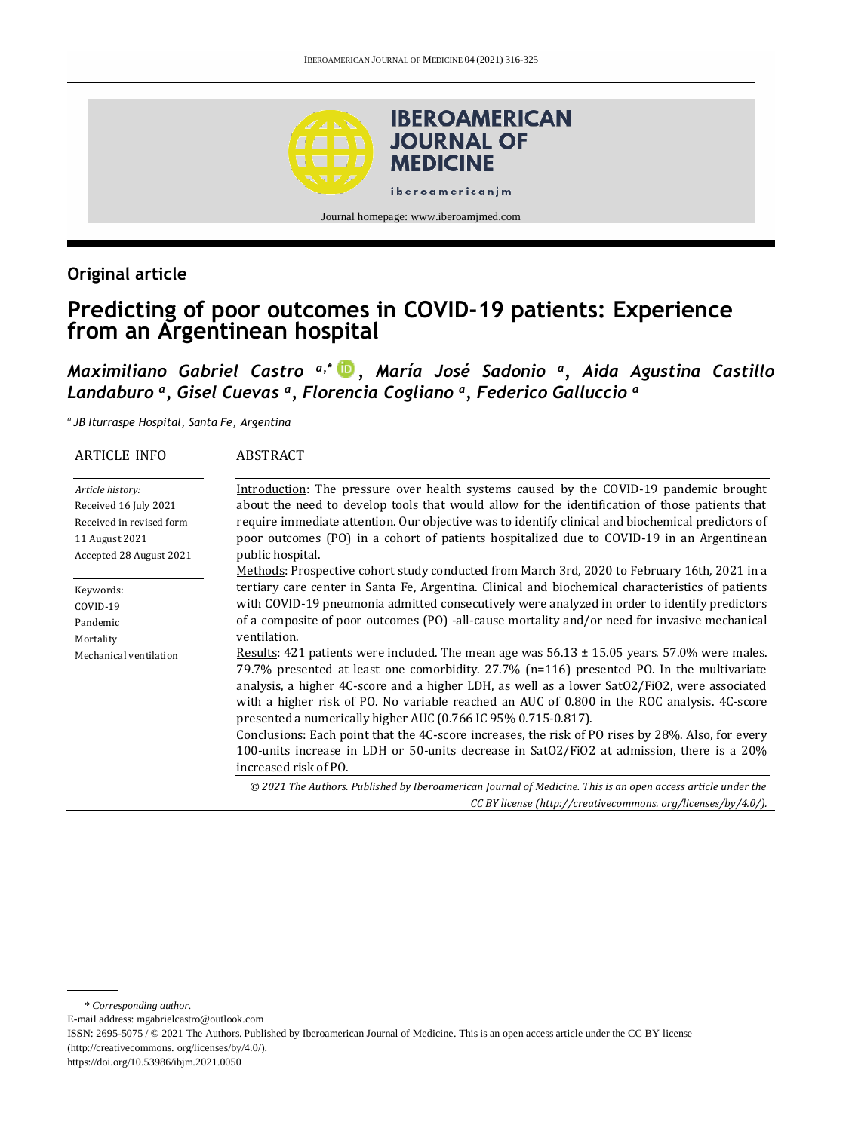

# **Original article**

# **Predicting of poor outcomes in COVID-19 patients: Experience from an Argentinean hospital**

*Maximiliano Gabriel Castro a,\* , María José Sadonio <sup>a</sup> , Aida Agustina Castillo Landaburo <sup>a</sup> , Gisel Cuevas <sup>a</sup> , Florencia Cogliano <sup>a</sup> , Federico Galluccio <sup>a</sup>*

*a JB Iturraspe Hospital, Santa Fe, Argentina*

| <b>ARTICLE INFO</b>                                                                                                | <b>ABSTRACT</b>                                                                                                                                                                                                                                                                                                                                                                                                                                                                                                                                                                                                                                                                           |
|--------------------------------------------------------------------------------------------------------------------|-------------------------------------------------------------------------------------------------------------------------------------------------------------------------------------------------------------------------------------------------------------------------------------------------------------------------------------------------------------------------------------------------------------------------------------------------------------------------------------------------------------------------------------------------------------------------------------------------------------------------------------------------------------------------------------------|
| Article history:<br>Received 16 July 2021<br>Received in revised form<br>11 August 2021<br>Accepted 28 August 2021 | Introduction: The pressure over health systems caused by the COVID-19 pandemic brought<br>about the need to develop tools that would allow for the identification of those patients that<br>require immediate attention. Our objective was to identify clinical and biochemical predictors of<br>poor outcomes (PO) in a cohort of patients hospitalized due to COVID-19 in an Argentinean<br>public hospital.<br>Methods: Prospective cohort study conducted from March 3rd, 2020 to February 16th, 2021 in a                                                                                                                                                                            |
| Keywords:<br>COVID-19<br>Pandemic<br>Mortality                                                                     | tertiary care center in Santa Fe, Argentina. Clinical and biochemical characteristics of patients<br>with COVID-19 pneumonia admitted consecutively were analyzed in order to identify predictors<br>of a composite of poor outcomes (PO) -all-cause mortality and/or need for invasive mechanical<br>ventilation.                                                                                                                                                                                                                                                                                                                                                                        |
| Mechanical ventilation                                                                                             | Results: 421 patients were included. The mean age was $56.13 \pm 15.05$ years. 57.0% were males.<br>79.7% presented at least one comorbidity. 27.7% (n=116) presented PO. In the multivariate<br>analysis, a higher 4C-score and a higher LDH, as well as a lower SatO2/FiO2, were associated<br>with a higher risk of PO. No variable reached an AUC of 0.800 in the ROC analysis. 4C-score<br>presented a numerically higher AUC (0.766 IC 95% 0.715-0.817).<br>Conclusions: Each point that the 4C-score increases, the risk of PO rises by 28%. Also, for every<br>100-units increase in LDH or 50-units decrease in SatO2/FiO2 at admission, there is a 20%<br>increased risk of PO. |
|                                                                                                                    | © 2021 The Authors. Published by Iberoamerican Journal of Medicine. This is an open access article under the<br>CC BY license (http://creativecommons.org/licenses/by/4.0/).                                                                                                                                                                                                                                                                                                                                                                                                                                                                                                              |

\* *Corresponding author.*

E-mail address: [mgabrielcastro@outlook.com](mailto:mgabrielcastro@outlook.com)

ISSN: 2695-5075 / © 2021 The Authors. Published by Iberoamerican Journal of Medicine. This is an open access article under the CC BY license (http:/[/creativecommons. org/licenses/by/4.0/\).](https://creativecommons.org/licenses/by/4.0/)

<https://doi.org/10.53986/ibjm.2021.0050>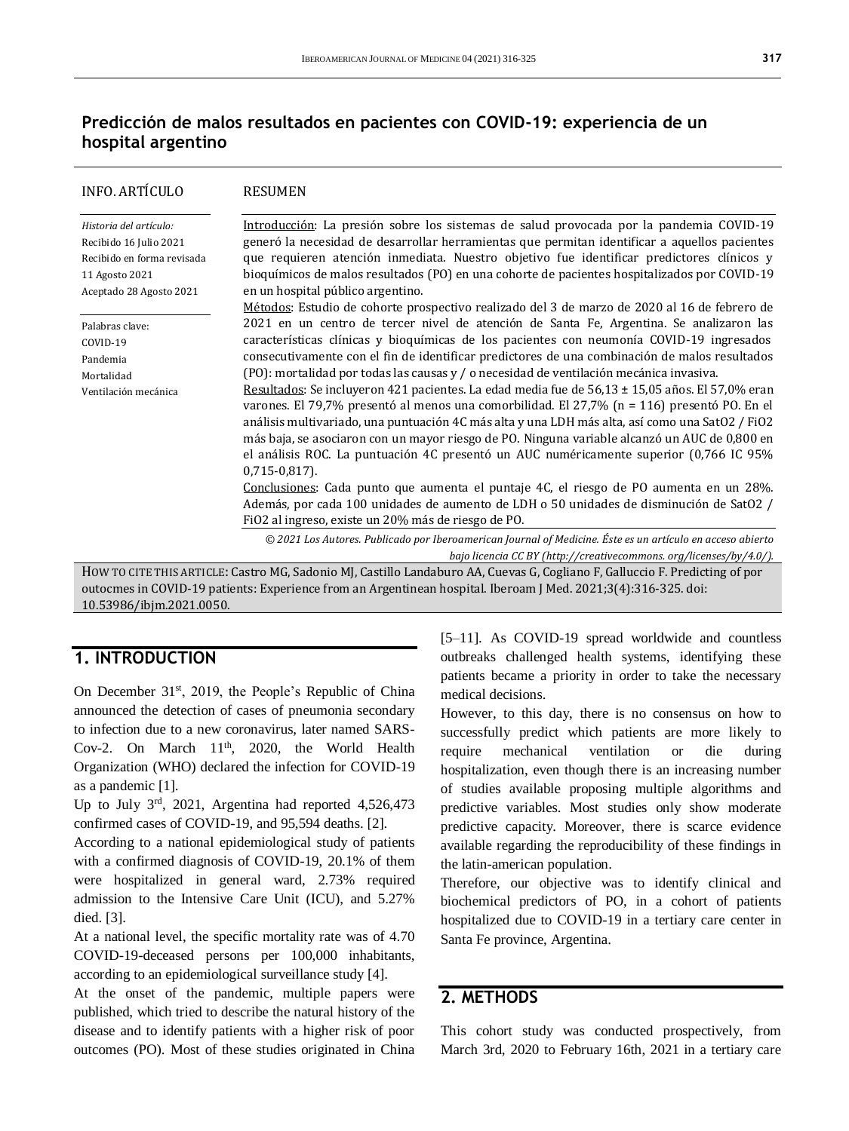# **Predicción de malos resultados en pacientes con COVID-19: experiencia de un hospital argentino**

| <b>INFO. ARTÍCULO</b>                                                                                                       | <b>RESUMEN</b>                                                                                                                                                                                                                                                                                                                                                                                                                                                                                                                                                                                                                                                                                                                                                                                                                                                                                                                                                                                                                                                                             |
|-----------------------------------------------------------------------------------------------------------------------------|--------------------------------------------------------------------------------------------------------------------------------------------------------------------------------------------------------------------------------------------------------------------------------------------------------------------------------------------------------------------------------------------------------------------------------------------------------------------------------------------------------------------------------------------------------------------------------------------------------------------------------------------------------------------------------------------------------------------------------------------------------------------------------------------------------------------------------------------------------------------------------------------------------------------------------------------------------------------------------------------------------------------------------------------------------------------------------------------|
| Historia del artículo:<br>Recibido 16 Julio 2021<br>Recibido en forma revisada<br>11 Agosto 2021<br>Aceptado 28 Agosto 2021 | Introducción: La presión sobre los sistemas de salud provocada por la pandemia COVID-19<br>generó la necesidad de desarrollar herramientas que permitan identificar a aquellos pacientes<br>que requieren atención inmediata. Nuestro objetivo fue identificar predictores clínicos y<br>bioquímicos de malos resultados (PO) en una cohorte de pacientes hospitalizados por COVID-19<br>en un hospital público argentino.<br>Métodos: Estudio de cohorte prospectivo realizado del 3 de marzo de 2020 al 16 de febrero de                                                                                                                                                                                                                                                                                                                                                                                                                                                                                                                                                                 |
| Palabras clave:<br>COVID-19<br>Pandemia<br>Mortalidad<br>Ventilación mecánica                                               | 2021 en un centro de tercer nivel de atención de Santa Fe, Argentina. Se analizaron las<br>características clínicas y bioquímicas de los pacientes con neumonía COVID-19 ingresados<br>consecutivamente con el fin de identificar predictores de una combinación de malos resultados<br>$[PO]$ : mortalidad por todas las causas y / o necesidad de ventilación mecánica invasiva.<br>Resultados: Se incluyeron 421 pacientes. La edad media fue de 56,13 ± 15,05 años. El 57,0% eran<br>varones. El 79,7% presentó al menos una comorbilidad. El 27,7% (n = 116) presentó PO. En el<br>análisis multivariado, una puntuación 4C más alta y una LDH más alta, así como una SatO2 / FiO2<br>más baja, se asociaron con un mayor riesgo de PO. Ninguna variable alcanzó un AUC de 0,800 en<br>el análisis ROC. La puntuación 4C presentó un AUC numéricamente superior (0,766 IC 95%<br>$0,715-0,817$ .<br>Conclusiones: Cada punto que aumenta el puntaje 4C, el riesgo de PO aumenta en un 28%.<br>Además, por cada 100 unidades de aumento de LDH o 50 unidades de disminución de SatO2 / |
|                                                                                                                             | FiO2 al ingreso, existe un 20% más de riesgo de PO.                                                                                                                                                                                                                                                                                                                                                                                                                                                                                                                                                                                                                                                                                                                                                                                                                                                                                                                                                                                                                                        |
|                                                                                                                             | © 2021 Los Autores. Publicado por Iberoamerican Journal of Medicine. Éste es un artículo en acceso abierto<br>bajo licencia CC BY (http://creativecommons.org/licenses/by/4.0/).                                                                                                                                                                                                                                                                                                                                                                                                                                                                                                                                                                                                                                                                                                                                                                                                                                                                                                           |
|                                                                                                                             | HOW TO CITE THIS ARTICLE: Castro MG, Sadonio MJ, Castillo Landaburo AA, Cuevas G, Cogliano F, Galluccio F. Predicting of por                                                                                                                                                                                                                                                                                                                                                                                                                                                                                                                                                                                                                                                                                                                                                                                                                                                                                                                                                               |

outocmes in COVID-19 patients: Experience from an Argentinean hospital. Iberoam J Med. 2021;3(4):316-325. doi: [10.53986/ibjm.2021.0050.](https://doi.org/10.53986/ibjm.2021.0050)

### **1. INTRODUCTION**

On December  $31<sup>st</sup>$ , 2019, the People's Republic of China announced the detection of cases of pneumonia secondary to infection due to a new coronavirus, later named SARS-Cov-2. On March 11<sup>th</sup>, 2020, the World Health Organization (WHO) declared the infection for COVID-19 as a pandemic [1].

Up to July  $3<sup>rd</sup>$ , 2021, Argentina had reported 4,526,473 confirmed cases of COVID-19, and 95,594 deaths. [2].

According to a national epidemiological study of patients with a confirmed diagnosis of COVID-19, 20.1% of them were hospitalized in general ward, 2.73% required admission to the Intensive Care Unit (ICU), and 5.27% died. [3].

At a national level, the specific mortality rate was of 4.70 COVID-19-deceased persons per 100,000 inhabitants, according to an epidemiological surveillance study [4].

At the onset of the pandemic, multiple papers were published, which tried to describe the natural history of the disease and to identify patients with a higher risk of poor outcomes (PO). Most of these studies originated in China [5–11]. As COVID-19 spread worldwide and countless outbreaks challenged health systems, identifying these patients became a priority in order to take the necessary medical decisions.

However, to this day, there is no consensus on how to successfully predict which patients are more likely to require mechanical ventilation or die during hospitalization, even though there is an increasing number of studies available proposing multiple algorithms and predictive variables. Most studies only show moderate predictive capacity. Moreover, there is scarce evidence available regarding the reproducibility of these findings in the latin-american population.

Therefore, our objective was to identify clinical and biochemical predictors of PO, in a cohort of patients hospitalized due to COVID-19 in a tertiary care center in Santa Fe province, Argentina.

# **2. METHODS**

This cohort study was conducted prospectively, from March 3rd, 2020 to February 16th, 2021 in a tertiary care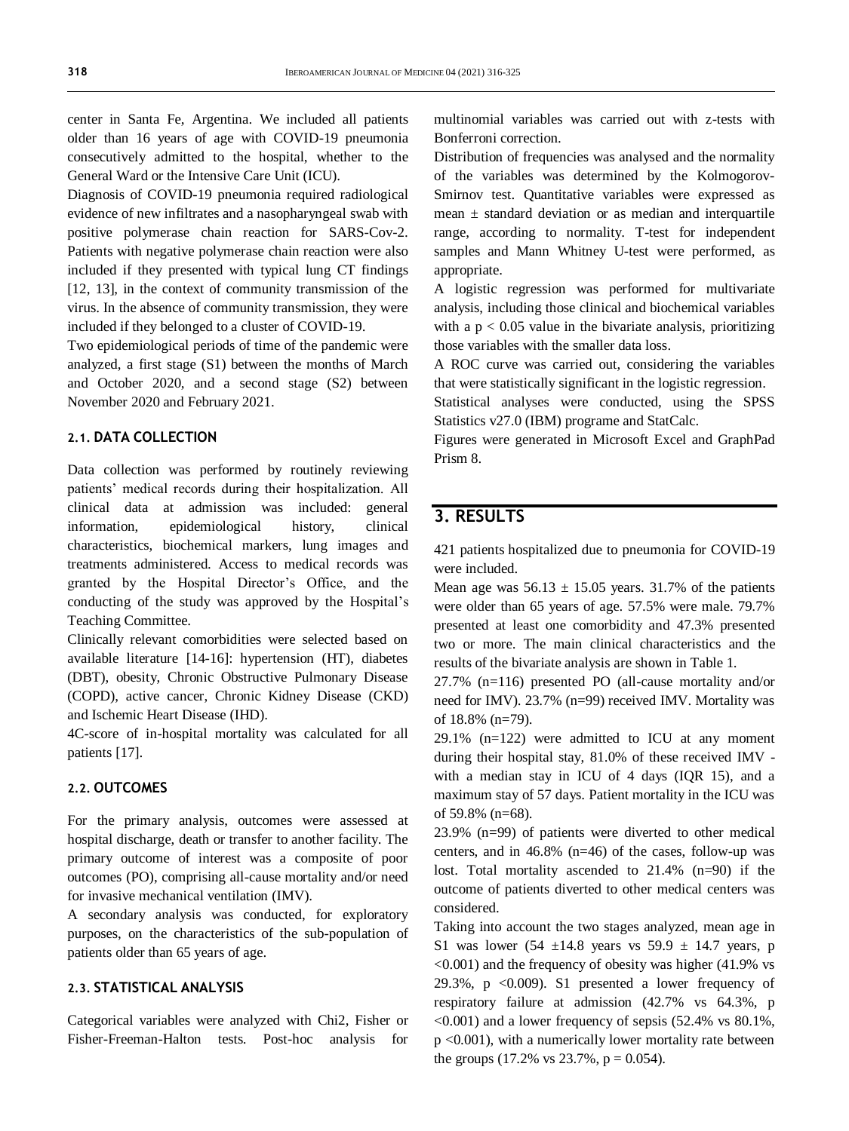center in Santa Fe, Argentina. We included all patients older than 16 years of age with COVID-19 pneumonia consecutively admitted to the hospital, whether to the General Ward or the Intensive Care Unit (ICU).

Diagnosis of COVID-19 pneumonia required radiological evidence of new infiltrates and a nasopharyngeal swab with positive polymerase chain reaction for SARS-Cov-2. Patients with negative polymerase chain reaction were also included if they presented with typical lung CT findings [12, 13], in the context of community transmission of the virus. In the absence of community transmission, they were included if they belonged to a cluster of COVID-19.

Two epidemiological periods of time of the pandemic were analyzed, a first stage (S1) between the months of March and October 2020, and a second stage (S2) between November 2020 and February 2021.

#### **2.1. DATA COLLECTION**

Data collection was performed by routinely reviewing patients' medical records during their hospitalization. All clinical data at admission was included: general information, epidemiological history, clinical characteristics, biochemical markers, lung images and treatments administered. Access to medical records was granted by the Hospital Director's Office, and the conducting of the study was approved by the Hospital's Teaching Committee.

Clinically relevant comorbidities were selected based on available literature [14-16]: hypertension (HT), diabetes (DBT), obesity, Chronic Obstructive Pulmonary Disease (COPD), active cancer, Chronic Kidney Disease (CKD) and Ischemic Heart Disease (IHD).

4C-score of in-hospital mortality was calculated for all patients [17].

#### **2.2. OUTCOMES**

For the primary analysis, outcomes were assessed at hospital discharge, death or transfer to another facility. The primary outcome of interest was a composite of poor outcomes (PO), comprising all-cause mortality and/or need for invasive mechanical ventilation (IMV).

A secondary analysis was conducted, for exploratory purposes, on the characteristics of the sub-population of patients older than 65 years of age.

#### **2.3. STATISTICAL ANALYSIS**

Categorical variables were analyzed with Chi2, Fisher or Fisher-Freeman-Halton tests. Post-hoc analysis for multinomial variables was carried out with z-tests with Bonferroni correction.

Distribution of frequencies was analysed and the normality of the variables was determined by the Kolmogorov-Smirnov test. Quantitative variables were expressed as mean  $\pm$  standard deviation or as median and interquartile range, according to normality. T-test for independent samples and Mann Whitney U-test were performed, as appropriate.

A logistic regression was performed for multivariate analysis, including those clinical and biochemical variables with a  $p < 0.05$  value in the bivariate analysis, prioritizing those variables with the smaller data loss.

A ROC curve was carried out, considering the variables that were statistically significant in the logistic regression.

Statistical analyses were conducted, using the SPSS Statistics v27.0 (IBM) programe and StatCalc.

Figures were generated in Microsoft Excel and GraphPad Prism 8.

# **3. RESULTS**

421 patients hospitalized due to pneumonia for COVID-19 were included.

Mean age was  $56.13 \pm 15.05$  years. 31.7% of the patients were older than 65 years of age. 57.5% were male. 79.7% presented at least one comorbidity and 47.3% presented two or more. The main clinical characteristics and the results of the bivariate analysis are shown in Table 1.

27.7% (n=116) presented PO (all-cause mortality and/or need for IMV). 23.7% (n=99) received IMV. Mortality was of 18.8% (n=79).

29.1% (n=122) were admitted to ICU at any moment during their hospital stay, 81.0% of these received IMV with a median stay in ICU of 4 days (IQR 15), and a maximum stay of 57 days. Patient mortality in the ICU was of 59.8% (n=68).

23.9% (n=99) of patients were diverted to other medical centers, and in 46.8% (n=46) of the cases, follow-up was lost. Total mortality ascended to 21.4% (n=90) if the outcome of patients diverted to other medical centers was considered.

Taking into account the two stages analyzed, mean age in S1 was lower (54  $\pm$ 14.8 years vs 59.9  $\pm$  14.7 years, p  $\leq 0.001$ ) and the frequency of obesity was higher (41.9% vs 29.3%,  $p \le 0.009$ ). S1 presented a lower frequency of respiratory failure at admission (42.7% vs 64.3%, p  $\leq 0.001$ ) and a lower frequency of sepsis (52.4% vs 80.1%, p <0.001), with a numerically lower mortality rate between the groups (17.2% vs  $23.7\%$ ,  $p = 0.054$ ).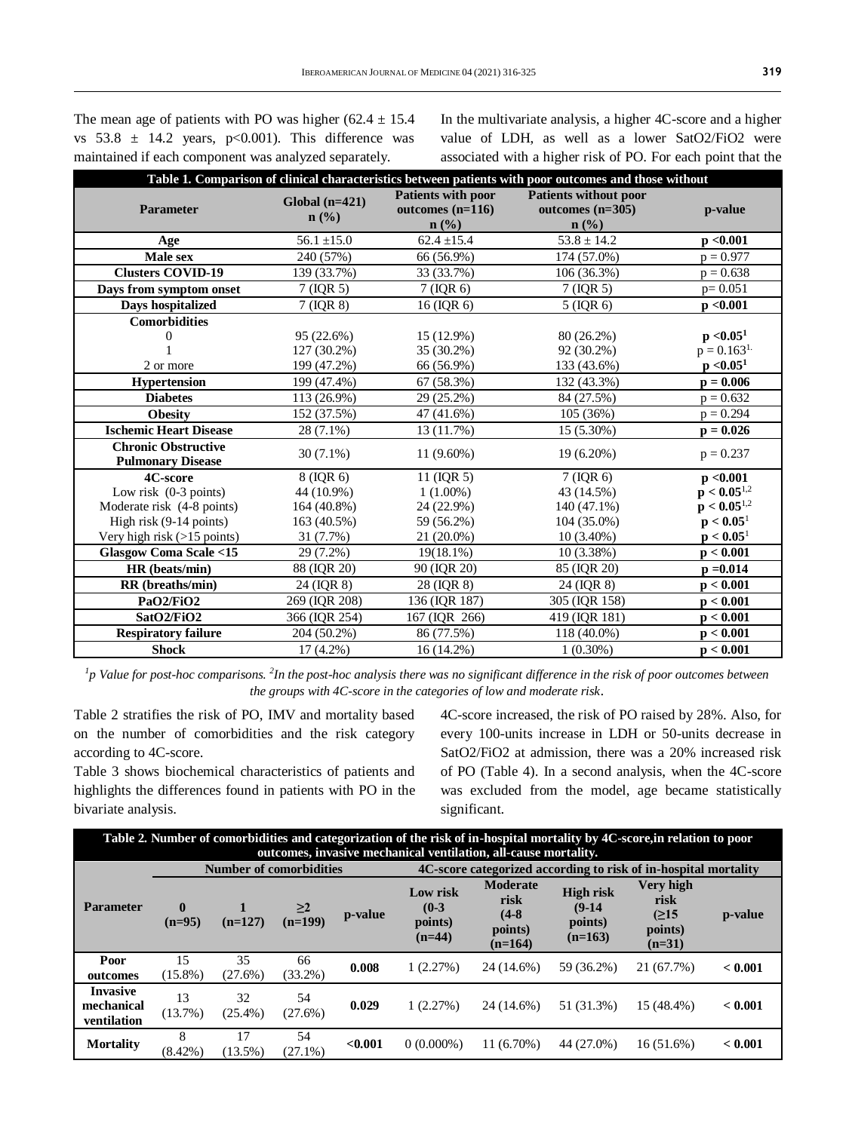The mean age of patients with PO was higher  $(62.4 \pm 15.4)$ vs  $53.8 \pm 14.2$  years,  $p<0.001$ ). This difference was maintained if each component was analyzed separately.

In the multivariate analysis, a higher 4C-score and a higher value of LDH, as well as a lower SatO2/FiO2 were associated with a higher risk of PO. For each point that the

| Table 1. Comparison of clinical characteristics between patients with poor outcomes and those without |                             |                                                     |                                                                                   |                        |  |  |
|-------------------------------------------------------------------------------------------------------|-----------------------------|-----------------------------------------------------|-----------------------------------------------------------------------------------|------------------------|--|--|
| <b>Parameter</b>                                                                                      | $Global (n=421)$<br>$n$ (%) | Patients with poor<br>outcomes $(n=116)$<br>$n$ (%) | <b>Patients without poor</b><br>outcomes $(n=305)$<br>$n\left(\frac{0}{0}\right)$ | p-value                |  |  |
| Age                                                                                                   | $56.1 \pm 15.0$             | $62.4 \pm 15.4$                                     | $53.8 \pm 14.2$                                                                   | p < 0.001              |  |  |
| Male sex                                                                                              | 240 (57%)                   | 66 (56.9%)                                          | 174 (57.0%)                                                                       | $p = 0.977$            |  |  |
| <b>Clusters COVID-19</b>                                                                              | 139 (33.7%)                 | 33 (33.7%)                                          | 106 (36.3%)                                                                       | $p = 0.638$            |  |  |
| Days from symptom onset                                                                               | $7$ (IQR 5)                 | $7$ (IQR 6)                                         | $7$ (IQR 5)                                                                       | $p = 0.051$            |  |  |
| Days hospitalized                                                                                     | $7$ (IQR $8$ )              | 16 (IOR 6)                                          | $5$ (IQR 6)                                                                       | p < 0.001              |  |  |
| <b>Comorbidities</b>                                                                                  |                             |                                                     |                                                                                   |                        |  |  |
| 0                                                                                                     | 95 (22.6%)                  | 15 (12.9%)                                          | 80 (26.2%)                                                                        | p < 0.05 <sup>1</sup>  |  |  |
|                                                                                                       | 127 (30.2%)                 | 35 (30.2%)                                          | 92 (30.2%)                                                                        | $p = 0.163^{1}$        |  |  |
| 2 or more                                                                                             | 199 (47.2%)                 | 66 (56.9%)                                          | 133 (43.6%)                                                                       | p < 0.05 <sup>1</sup>  |  |  |
| <b>Hypertension</b>                                                                                   | 199 (47.4%)                 | 67 (58.3%)                                          | 132 (43.3%)                                                                       | $p = 0.006$            |  |  |
| <b>Diabetes</b>                                                                                       | 113 (26.9%)                 | 29 (25.2%)                                          | 84 (27.5%)                                                                        | $p = 0.632$            |  |  |
| <b>Obesity</b>                                                                                        | 152 (37.5%)                 | 47 (41.6%)                                          | 105 (36%)                                                                         | $p = 0.294$            |  |  |
| <b>Ischemic Heart Disease</b>                                                                         | 28 (7.1%)                   | 13 (11.7%)                                          | 15 (5.30%)                                                                        | $p = 0.026$            |  |  |
| <b>Chronic Obstructive</b><br><b>Pulmonary Disease</b>                                                | $30(7.1\%)$                 | 11 (9.60%)                                          | 19 (6.20%)                                                                        | $p = 0.237$            |  |  |
| 4C-score                                                                                              | 8 (IQR 6)                   | 11 (IQR 5)                                          | $7$ (IQR 6)                                                                       | p < 0.001              |  |  |
| Low risk $(0-3 \text{ points})$                                                                       | 44 (10.9%)                  | $1(1.00\%)$                                         | 43 (14.5%)                                                                        | ${\bf p} < 0.05^{1,2}$ |  |  |
| Moderate risk (4-8 points)                                                                            | 164 (40.8%)                 | 24 (22.9%)                                          | 140 (47.1%)                                                                       | $p < 0.05^{1,2}$       |  |  |
| High risk (9-14 points)                                                                               | 163 (40.5%)                 | 59 (56.2%)                                          | 104 (35.0%)                                                                       | $p < 0.05^1$           |  |  |
| Very high risk (>15 points)                                                                           | 31 (7.7%)                   | 21 (20.0%)                                          | $10(3.40\%)$                                                                      | $p < 0.05^1$           |  |  |
| <b>Glasgow Coma Scale &lt;15</b>                                                                      | 29 (7.2%)                   | $19(18.1\%)$                                        | $10(3.38\%)$                                                                      | p < 0.001              |  |  |
| HR (beats/min)                                                                                        | 88 (IQR 20)                 | 90 (IQR 20)                                         | 85 (IQR 20)                                                                       | $p = 0.014$            |  |  |
| RR (breaths/min)                                                                                      | 24 (IQR 8)                  | 28 (IQR 8)                                          | 24 (IQR 8)                                                                        | p < 0.001              |  |  |
| PaO <sub>2</sub> /FiO <sub>2</sub>                                                                    | 269 (IQR 208)               | 136 (IQR 187)                                       | 305 (IQR 158)                                                                     | p < 0.001              |  |  |
| SatO2/FiO2                                                                                            | 366 (IQR 254)               | 167 (IQR 266)                                       | 419 (IQR 181)                                                                     | p < 0.001              |  |  |
| <b>Respiratory failure</b>                                                                            | 204 (50.2%)                 | 86 (77.5%)                                          | 118 (40.0%)                                                                       | p < 0.001              |  |  |
| <b>Shock</b>                                                                                          | $17(4.2\%)$                 | 16 (14.2%)                                          | $1(0.30\%)$                                                                       | p < 0.001              |  |  |

*1 p Value for post-hoc comparisons. <sup>2</sup> In the post-hoc analysis there was no significant difference in the risk of poor outcomes between the groups with 4C-score in the categories of low and moderate risk*.

Table 2 stratifies the risk of PO, IMV and mortality based on the number of comorbidities and the risk category according to 4C-score.

Table 3 shows biochemical characteristics of patients and highlights the differences found in patients with PO in the bivariate analysis.

4C-score increased, the risk of PO raised by 28%. Also, for every 100-units increase in LDH or 50-units decrease in SatO2/FiO2 at admission, there was a 20% increased risk of PO (Table 4). In a second analysis, when the 4C-score was excluded from the model, age became statistically significant.

| Table 2. Number of comorbidities and categorization of the risk of in-hospital mortality by 4C-score, in relation to poor<br>outcomes, invasive mechanical ventilation, all-cause mortality. |                                                                                                   |                  |                       |         |                                            |                                                            |                                                      |                                                  |         |
|----------------------------------------------------------------------------------------------------------------------------------------------------------------------------------------------|---------------------------------------------------------------------------------------------------|------------------|-----------------------|---------|--------------------------------------------|------------------------------------------------------------|------------------------------------------------------|--------------------------------------------------|---------|
|                                                                                                                                                                                              | <b>Number of comorbidities</b><br>4C-score categorized according to risk of in-hospital mortality |                  |                       |         |                                            |                                                            |                                                      |                                                  |         |
| <b>Parameter</b>                                                                                                                                                                             | $\mathbf{0}$<br>$(n=95)$                                                                          | $(n=127)$        | $\geq$ 2<br>$(n=199)$ | p-value | Low risk<br>$(0-3)$<br>points)<br>$(n=44)$ | <b>Moderate</b><br>risk<br>$(4-8)$<br>points)<br>$(n=164)$ | <b>High risk</b><br>$(9-14)$<br>points)<br>$(n=163)$ | Very high<br>risk<br>(215<br>points)<br>$(n=31)$ | p-value |
| Poor<br>outcomes                                                                                                                                                                             | 15<br>$(15.8\%)$                                                                                  | 35<br>(27.6%)    | 66<br>$(33.2\%)$      | 0.008   | 1(2.27%)                                   | 24 (14.6%)                                                 | 59 (36.2%)                                           | 21 (67.7%)                                       | < 0.001 |
| <b>Invasive</b><br>mechanical<br>ventilation                                                                                                                                                 | 13<br>(13.7%)                                                                                     | 32<br>$(25.4\%)$ | 54<br>$(27.6\%)$      | 0.029   | 1(2.27%)                                   | 24 (14.6%)                                                 | 51 (31.3%)                                           | 15 (48.4%)                                       | < 0.001 |
| <b>Mortality</b>                                                                                                                                                                             | 8<br>$(8.42\%)$                                                                                   | 17<br>$(13.5\%)$ | 54<br>$(27.1\%)$      | < 0.001 | $0(0.000\%)$                               | $11(6.70\%)$                                               | 44 (27.0%)                                           | $16(51.6\%)$                                     | < 0.001 |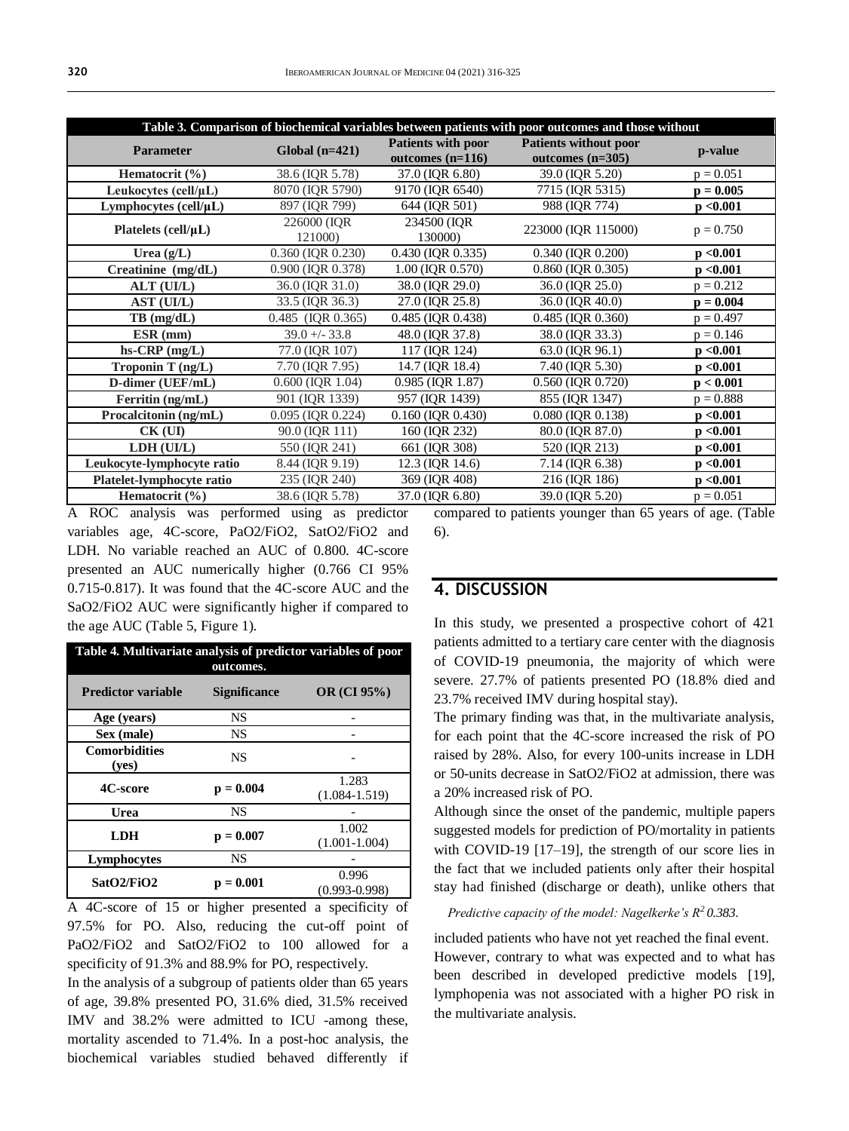| Table 3. Comparison of biochemical variables between patients with poor outcomes and those without |                         |                                                 |                                                    |             |  |  |
|----------------------------------------------------------------------------------------------------|-------------------------|-------------------------------------------------|----------------------------------------------------|-------------|--|--|
| <b>Parameter</b>                                                                                   | Global $(n=421)$        | <b>Patients with poor</b><br>outcomes $(n=116)$ | <b>Patients without poor</b><br>outcomes $(n=305)$ | p-value     |  |  |
| Hematocrit (%)                                                                                     | 38.6 (IQR 5.78)         | 37.0 (IQR 6.80)                                 | 39.0 (IQR 5.20)                                    | $p = 0.051$ |  |  |
| Leukocytes (cell/ $\mu$ L)                                                                         | 8070 (IQR 5790)         | 9170 (IQR 6540)                                 | 7715 (IQR 5315)                                    | $p = 0.005$ |  |  |
| Lymphocytes (cell/µL)                                                                              | 897 (IQR 799)           | 644 (IQR 501)                                   | 988 (IQR 774)                                      | p < 0.001   |  |  |
| Platelets (cell/ $\mu$ L)                                                                          | 226000 (IOR)<br>121000) | 234500 (IQR)<br>130000)                         | 223000 (IOR 115000)                                | $p = 0.750$ |  |  |
| Urea $(g/L)$                                                                                       | 0.360 (IQR 0.230)       | 0.430 (IQR 0.335)                               | 0.340 (IQR 0.200)                                  | p < 0.001   |  |  |
| Creatinine (mg/dL)                                                                                 | 0.900 (IQR 0.378)       | 1.00 (IQR 0.570)                                | 0.860 (IQR 0.305)                                  | p < 0.001   |  |  |
| ALT (UI/L)                                                                                         | 36.0 (IQR 31.0)         | 38.0 (IQR 29.0)                                 | 36.0 (IQR 25.0)                                    | $p = 0.212$ |  |  |
| AST (UI/L)                                                                                         | 33.5 (IQR 36.3)         | 27.0 (IQR 25.8)                                 | 36.0 (IQR 40.0)                                    | $p = 0.004$ |  |  |
| $TB$ (mg/dL)                                                                                       | 0.485 (IQR 0.365)       | 0.485 (IQR 0.438)                               | 0.485 (IQR 0.360)                                  | $p = 0.497$ |  |  |
| ESR (mm)                                                                                           | $39.0 + - 33.8$         | 48.0 (IQR 37.8)                                 | 38.0 (IQR 33.3)                                    | $p = 0.146$ |  |  |
| $hs-CRP$ (mg/L)                                                                                    | 77.0 (IQR 107)          | 117 (IQR 124)                                   | 63.0 (IQR 96.1)                                    | p < 0.001   |  |  |
| Troponin T (ng/L)                                                                                  | 7.70 (IQR 7.95)         | 14.7 (IQR 18.4)                                 | 7.40 (IQR 5.30)                                    | p < 0.001   |  |  |
| D-dimer (UEF/mL)                                                                                   | $0.600$ (IQR 1.04)      | 0.985 (IQR 1.87)                                | 0.560 (IQR 0.720)                                  | p < 0.001   |  |  |
| Ferritin (ng/mL)                                                                                   | 901 (IQR 1339)          | 957 (IQR 1439)                                  | 855 (IQR 1347)                                     | $p = 0.888$ |  |  |
| Procalcitonin (ng/mL)                                                                              | 0.095 (IQR 0.224)       | 0.160 (IQR 0.430)                               | 0.080 (IQR 0.138)                                  | p < 0.001   |  |  |
| $CK$ (UI)                                                                                          | 90.0 (IQR 111)          | 160 (IQR 232)                                   | 80.0 (IQR 87.0)                                    | p < 0.001   |  |  |
| LDH (UI/L)                                                                                         | 550 (IOR 241)           | 661 (IOR 308)                                   | 520 (IQR 213)                                      | p < 0.001   |  |  |
| Leukocyte-lymphocyte ratio                                                                         | 8.44 (IQR 9.19)         | 12.3 (IQR 14.6)                                 | 7.14 (IQR 6.38)                                    | p < 0.001   |  |  |
| Platelet-lymphocyte ratio                                                                          | 235 (IQR 240)           | 369 (IQR 408)                                   | 216 (IQR 186)                                      | p < 0.001   |  |  |
| Hematocrit $(\% )$                                                                                 | 38.6 (IQR 5.78)         | 37.0 (IQR 6.80)                                 | 39.0 (IQR 5.20)                                    | $p = 0.051$ |  |  |

A ROC analysis was performed using as predictor variables age, 4C-score, PaO2/FiO2, SatO2/FiO2 and LDH. No variable reached an AUC of 0.800. 4C-score presented an AUC numerically higher (0.766 CI 95% 0.715-0.817). It was found that the 4C-score AUC and the SaO2/FiO2 AUC were significantly higher if compared to the age AUC (Table 5, Figure 1).

| Table 4. Multivariate analysis of predictor variables of poor<br>outcomes. |                     |                            |  |  |  |
|----------------------------------------------------------------------------|---------------------|----------------------------|--|--|--|
| <b>Predictor variable</b>                                                  | <b>Significance</b> | $OR$ (CI $95\%$ )          |  |  |  |
| Age (years)                                                                | NS                  |                            |  |  |  |
| Sex (male)                                                                 | <b>NS</b>           |                            |  |  |  |
| <b>Comorbidities</b><br>( <b>ves</b> )                                     | <b>NS</b>           |                            |  |  |  |
| 4C-score                                                                   | $p = 0.004$         | 1.283<br>$(1.084 - 1.519)$ |  |  |  |
| Urea                                                                       | NS                  |                            |  |  |  |
| LDH                                                                        | $p = 0.007$         | 1.002<br>$(1.001 - 1.004)$ |  |  |  |
| Lymphocytes                                                                | <b>NS</b>           |                            |  |  |  |
| SatO2/FiO2                                                                 | $p = 0.001$         | 0.996<br>$(0.993 - 0.998)$ |  |  |  |

A 4C-score of 15 or higher presented a specificity of 97.5% for PO. Also, reducing the cut-off point of PaO2/FiO2 and SatO2/FiO2 to 100 allowed for a specificity of 91.3% and 88.9% for PO, respectively.

In the analysis of a subgroup of patients older than 65 years of age, 39.8% presented PO, 31.6% died, 31.5% received IMV and 38.2% were admitted to ICU -among these, mortality ascended to 71.4%. In a post-hoc analysis, the biochemical variables studied behaved differently if compared to patients younger than 65 years of age. (Table 6).

### **4. DISCUSSION**

In this study, we presented a prospective cohort of 421 patients admitted to a tertiary care center with the diagnosis of COVID-19 pneumonia, the majority of which were severe. 27.7% of patients presented PO (18.8% died and 23.7% received IMV during hospital stay).

The primary finding was that, in the multivariate analysis, for each point that the 4C-score increased the risk of PO raised by 28%. Also, for every 100-units increase in LDH or 50-units decrease in SatO2/FiO2 at admission, there was a 20% increased risk of PO.

Although since the onset of the pandemic, multiple papers suggested models for prediction of PO/mortality in patients with COVID-19 [17–19], the strength of our score lies in the fact that we included patients only after their hospital stay had finished (discharge or death), unlike others that

#### *Predictive capacity of the model: Nagelkerke's R<sup>2</sup>0.383.*

included patients who have not yet reached the final event. However, contrary to what was expected and to what has been described in developed predictive models [19], lymphopenia was not associated with a higher PO risk in the multivariate analysis.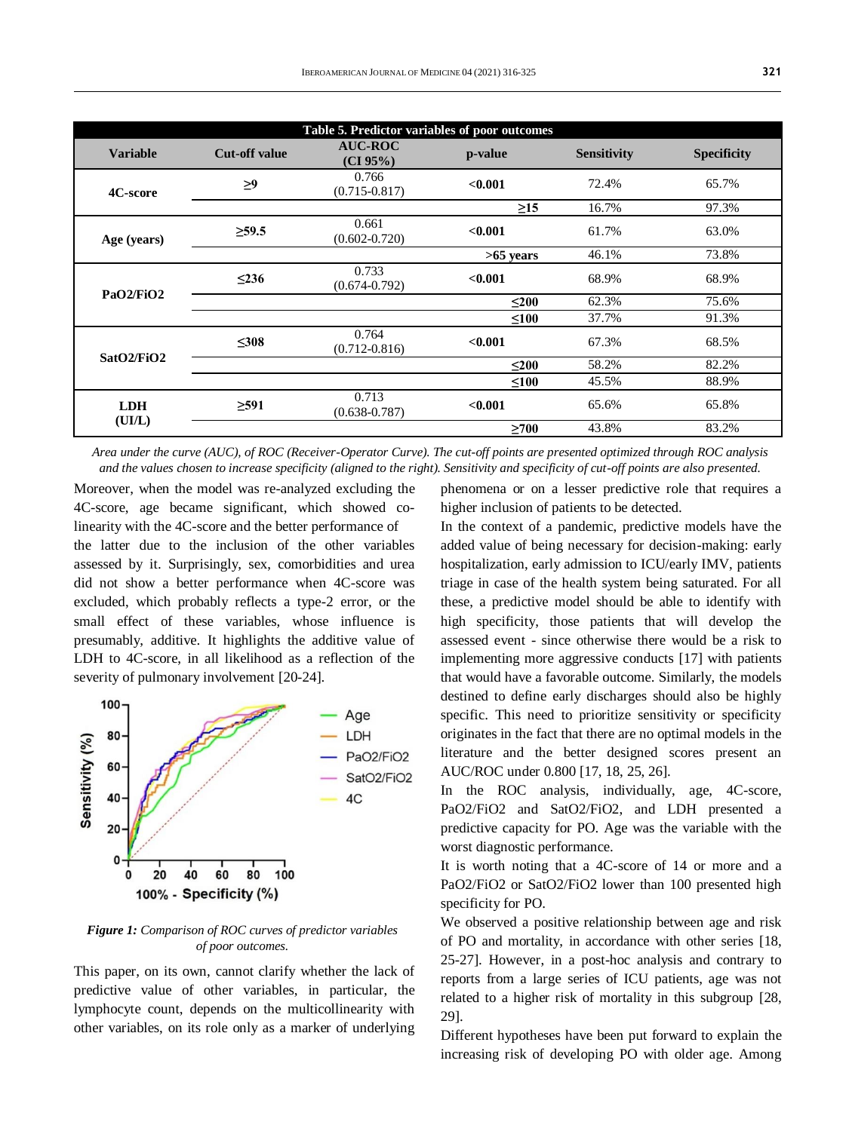| Table 5. Predictor variables of poor outcomes |                      |                               |             |                    |                    |  |
|-----------------------------------------------|----------------------|-------------------------------|-------------|--------------------|--------------------|--|
| <b>Variable</b>                               | <b>Cut-off value</b> | <b>AUC-ROC</b><br>$(CI 95\%)$ | p-value     | <b>Sensitivity</b> | <b>Specificity</b> |  |
| 4C-score                                      | $\geq$               | 0.766<br>$(0.715 - 0.817)$    | < 0.001     | 72.4%              | 65.7%              |  |
|                                               |                      |                               | $\geq$ 15   | 16.7%              | 97.3%              |  |
| Age (years)                                   | $\geq 59.5$          | 0.661<br>$(0.602 - 0.720)$    | < 0.001     | 61.7%              | 63.0%              |  |
|                                               |                      |                               | $>65$ years | 46.1%              | 73.8%              |  |
|                                               | $\leq$ 236           | 0.733<br>$(0.674 - 0.792)$    | < 0.001     | 68.9%              | 68.9%              |  |
| PaO2/FiO2                                     |                      |                               | $200$       | 62.3%              | 75.6%              |  |
|                                               |                      |                               | $\leq 100$  | 37.7%              | 91.3%              |  |
|                                               | $\leq 308$           | 0.764<br>$(0.712 - 0.816)$    | < 0.001     | 67.3%              | 68.5%              |  |
| SatO2/FiO2                                    |                      |                               | $\leq 200$  | 58.2%              | 82.2%              |  |
|                                               |                      |                               | $\leq 100$  | 45.5%              | 88.9%              |  |
| <b>LDH</b><br>(UIL)                           | $\geq 591$           | 0.713<br>$(0.638 - 0.787)$    | < 0.001     | 65.6%              | 65.8%              |  |
|                                               |                      |                               | >700        | 43.8%              | 83.2%              |  |

*Area under the curve (AUC), of ROC (Receiver-Operator Curve). The cut-off points are presented optimized through ROC analysis and the values chosen to increase specificity (aligned to the right). Sensitivity and specificity of cut-off points are also presented.*

Moreover, when the model was re-analyzed excluding the 4C-score, age became significant, which showed colinearity with the 4C-score and the better performance of the latter due to the inclusion of the other variables assessed by it. Surprisingly, sex, comorbidities and urea did not show a better performance when 4C-score was excluded, which probably reflects a type-2 error, or the small effect of these variables, whose influence is presumably, additive. It highlights the additive value of LDH to 4C-score, in all likelihood as a reflection of the severity of pulmonary involvement [20-24].



*Figure 1: Comparison of ROC curves of predictor variables of poor outcomes.*

This paper, on its own, cannot clarify whether the lack of predictive value of other variables, in particular, the lymphocyte count, depends on the multicollinearity with other variables, on its role only as a marker of underlying

phenomena or on a lesser predictive role that requires a higher inclusion of patients to be detected.

In the context of a pandemic, predictive models have the added value of being necessary for decision-making: early hospitalization, early admission to ICU/early IMV, patients triage in case of the health system being saturated. For all these, a predictive model should be able to identify with high specificity, those patients that will develop the assessed event - since otherwise there would be a risk to implementing more aggressive conducts [17] with patients that would have a favorable outcome. Similarly, the models destined to define early discharges should also be highly specific. This need to prioritize sensitivity or specificity originates in the fact that there are no optimal models in the literature and the better designed scores present an AUC/ROC under 0.800 [17, 18, 25, 26].

In the ROC analysis, individually, age, 4C-score, PaO2/FiO2 and SatO2/FiO2, and LDH presented a predictive capacity for PO. Age was the variable with the worst diagnostic performance.

It is worth noting that a 4C-score of 14 or more and a PaO2/FiO2 or SatO2/FiO2 lower than 100 presented high specificity for PO.

We observed a positive relationship between age and risk of PO and mortality, in accordance with other series [18, 25-27]. However, in a post-hoc analysis and contrary to reports from a large series of ICU patients, age was not related to a higher risk of mortality in this subgroup [28, 29].

Different hypotheses have been put forward to explain the increasing risk of developing PO with older age. Among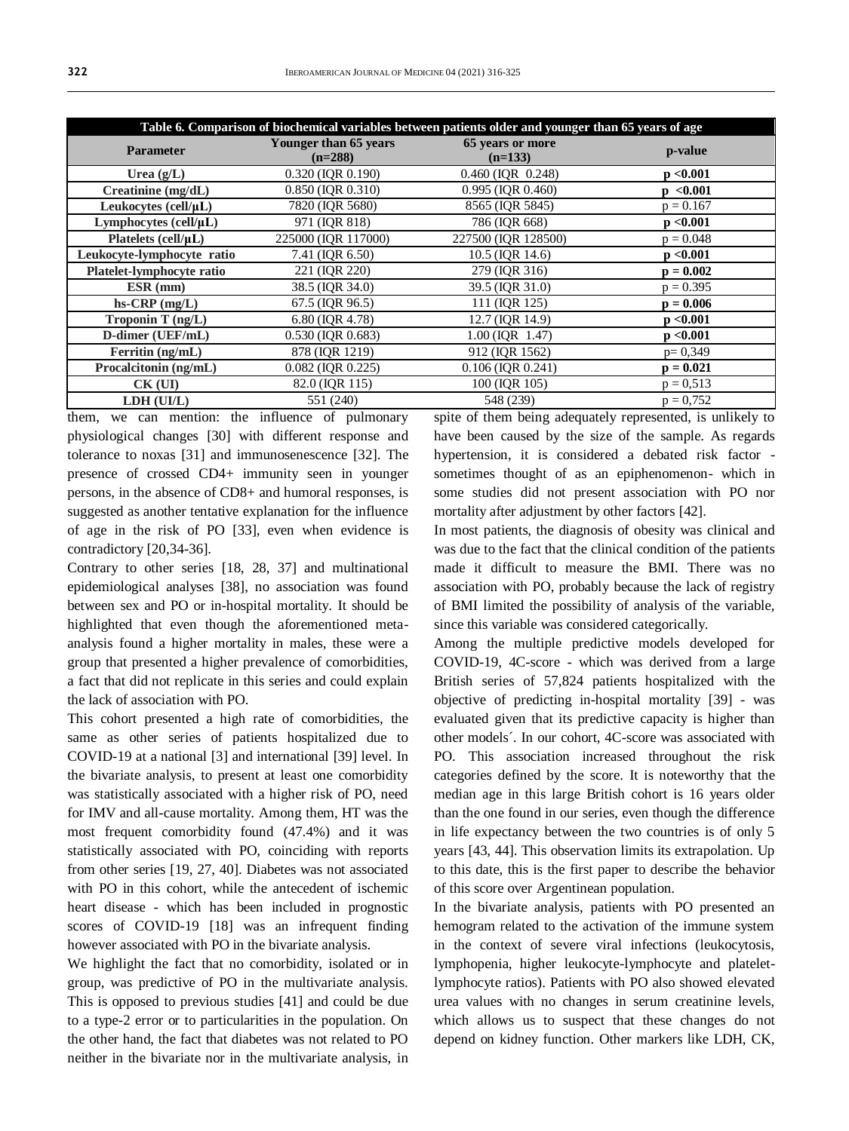| Table 6. Comparison of biochemical variables between patients older and younger than 65 years of age |                                    |                               |             |  |  |  |
|------------------------------------------------------------------------------------------------------|------------------------------------|-------------------------------|-------------|--|--|--|
| <b>Parameter</b>                                                                                     | Younger than 65 years<br>$(n=288)$ | 65 years or more<br>$(n=133)$ | p-value     |  |  |  |
| Urea $(g/L)$                                                                                         | 0.320 (IOR 0.190)                  | $0.460$ (IOR $0.248$ )        | p < 0.001   |  |  |  |
| Creatinine $(mg/dL)$                                                                                 | 0.850 (IOR 0.310)                  | 0.995 (IOR 0.460)             | p < 0.001   |  |  |  |
| Leukocytes $\text{(cell/}\mu\text{L})$                                                               | 7820 (IOR 5680)                    | 8565 (IOR 5845)               | $p = 0.167$ |  |  |  |
| Lymphocytes (cell/µL)                                                                                | 971 (IQR 818)                      | 786 (IOR 668)                 | p < 0.001   |  |  |  |
| Platelets $(cell/µL)$                                                                                | 225000 (IOR 117000)                | 227500 (IOR 128500)           | $p = 0.048$ |  |  |  |
| Leukocyte-lymphocyte ratio                                                                           | 7.41 (IOR 6.50)                    | 10.5 (IOR 14.6)               | p < 0.001   |  |  |  |
| Platelet-lymphocyte ratio                                                                            | 221 (IQR 220)                      | 279 (IQR 316)                 | $p = 0.002$ |  |  |  |
| $ESR$ (mm)                                                                                           | 38.5 (IOR 34.0)                    | 39.5 (IOR 31.0)               | $p = 0.395$ |  |  |  |
| $hs-CRP$ (mg/L)                                                                                      | 67.5 (IOR 96.5)                    | 111 (IOR 125)                 | $p = 0.006$ |  |  |  |
| Troponin T $(ng/L)$                                                                                  | 6.80 (IQR 4.78)                    | 12.7 (IQR 14.9)               | p < 0.001   |  |  |  |
| D-dimer (UEF/mL)                                                                                     | $0.530$ (IQR $0.683$ )             | $1.00$ (IQR $1.47$ )          | p < 0.001   |  |  |  |
| Ferritin (ng/mL)                                                                                     | 878 (IOR 1219)                     | 912 (IOR 1562)                | $p=0,349$   |  |  |  |
| Procalcitonin (ng/mL)                                                                                | $0.082$ (IOR $0.225$ )             | $0.106$ (IOR $0.241$ )        | $p = 0.021$ |  |  |  |
| $CK$ (UI)                                                                                            | 82.0 (IOR 115)                     | 100 (IQR 105)                 | $p = 0.513$ |  |  |  |
| LDH (UI/L)                                                                                           | 551 (240)                          | 548 (239)                     | $p = 0.752$ |  |  |  |

them, we can mention: the influence of pulmonary physiological changes [30] with different response and tolerance to noxas [31] and immunosenescence [32]. The presence of crossed CD4+ immunity seen in younger persons, in the absence of CD8+ and humoral responses, is suggested as another tentative explanation for the influence of age in the risk of PO [33], even when evidence is contradictory [20,34-36].

Contrary to other series [18, 28, 37] and multinational epidemiological analyses [38], no association was found between sex and PO or in-hospital mortality. It should be highlighted that even though the aforementioned metaanalysis found a higher mortality in males, these were a group that presented a higher prevalence of comorbidities, a fact that did not replicate in this series and could explain the lack of association with PO.

This cohort presented a high rate of comorbidities, the same as other series of patients hospitalized due to COVID-19 at a national [3] and international [39] level. In the bivariate analysis, to present at least one comorbidity was statistically associated with a higher risk of PO, need for IMV and all-cause mortality. Among them, HT was the most frequent comorbidity found (47.4%) and it was statistically associated with PO, coinciding with reports from other series [19, 27, 40]. Diabetes was not associated with PO in this cohort, while the antecedent of ischemic heart disease - which has been included in prognostic scores of COVID-19 [18] was an infrequent finding however associated with PO in the bivariate analysis.

We highlight the fact that no comorbidity, isolated or in group, was predictive of PO in the multivariate analysis. This is opposed to previous studies [41] and could be due to a type-2 error or to particularities in the population. On the other hand, the fact that diabetes was not related to PO neither in the bivariate nor in the multivariate analysis, in

spite of them being adequately represented, is unlikely to have been caused by the size of the sample. As regards hypertension, it is considered a debated risk factor sometimes thought of as an epiphenomenon- which in some studies did not present association with PO nor mortality after adjustment by other factors [42].

In most patients, the diagnosis of obesity was clinical and was due to the fact that the clinical condition of the patients made it difficult to measure the BMI. There was no association with PO, probably because the lack of registry of BMI limited the possibility of analysis of the variable, since this variable was considered categorically.

Among the multiple predictive models developed for COVID-19, 4C-score - which was derived from a large British series of 57,824 patients hospitalized with the objective of predicting in-hospital mortality [39] - was evaluated given that its predictive capacity is higher than other models´. In our cohort, 4C-score was associated with PO. This association increased throughout the risk categories defined by the score. It is noteworthy that the median age in this large British cohort is 16 years older than the one found in our series, even though the difference in life expectancy between the two countries is of only 5 years [43, 44]. This observation limits its extrapolation. Up to this date, this is the first paper to describe the behavior of this score over Argentinean population.

In the bivariate analysis, patients with PO presented an hemogram related to the activation of the immune system in the context of severe viral infections (leukocytosis, lymphopenia, higher leukocyte-lymphocyte and plateletlymphocyte ratios). Patients with PO also showed elevated urea values with no changes in serum creatinine levels, which allows us to suspect that these changes do not depend on kidney function. Other markers like LDH, CK,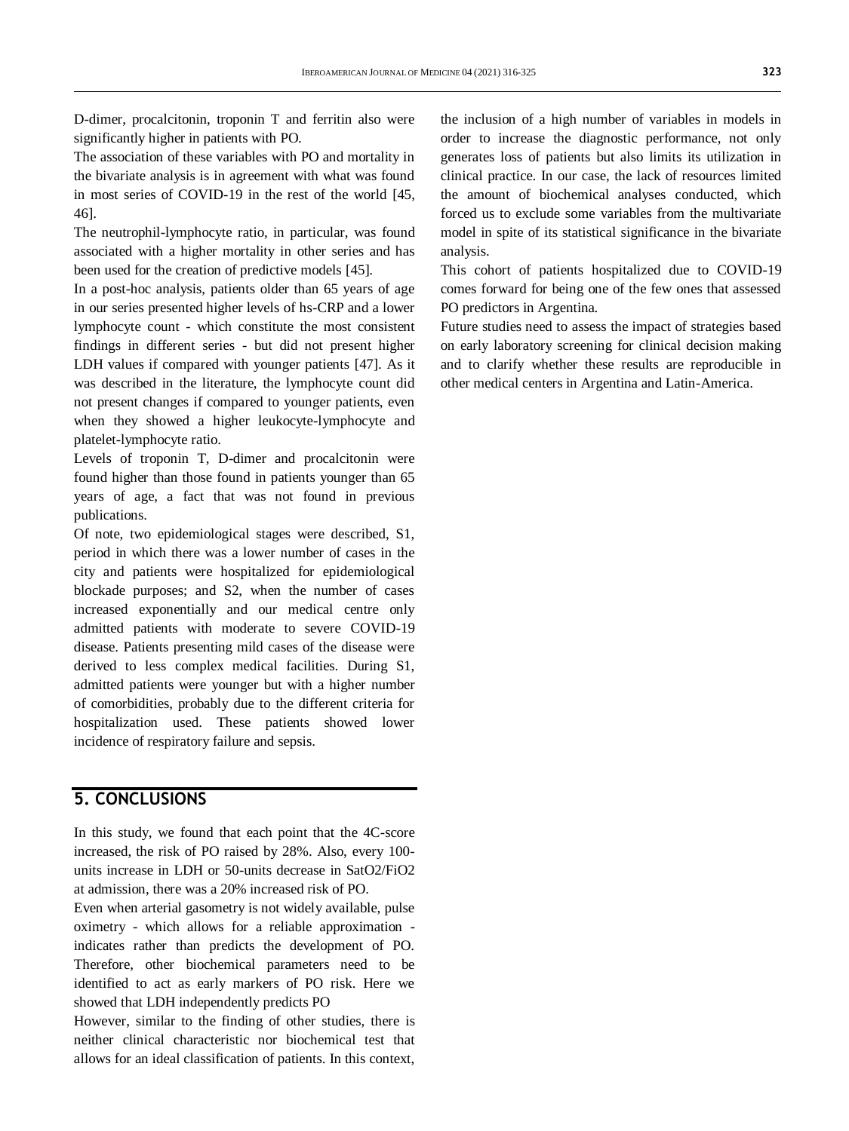D-dimer, procalcitonin, troponin T and ferritin also were significantly higher in patients with PO.

The association of these variables with PO and mortality in the bivariate analysis is in agreement with what was found in most series of COVID-19 in the rest of the world [45, 46].

The neutrophil-lymphocyte ratio, in particular, was found associated with a higher mortality in other series and has been used for the creation of predictive models [45].

In a post-hoc analysis, patients older than 65 years of age in our series presented higher levels of hs-CRP and a lower lymphocyte count - which constitute the most consistent findings in different series - but did not present higher LDH values if compared with younger patients [47]. As it was described in the literature, the lymphocyte count did not present changes if compared to younger patients, even when they showed a higher leukocyte-lymphocyte and platelet-lymphocyte ratio.

Levels of troponin T, D-dimer and procalcitonin were found higher than those found in patients younger than 65 years of age, a fact that was not found in previous publications.

Of note, two epidemiological stages were described, S1, period in which there was a lower number of cases in the city and patients were hospitalized for epidemiological blockade purposes; and S2, when the number of cases increased exponentially and our medical centre only admitted patients with moderate to severe COVID-19 disease. Patients presenting mild cases of the disease were derived to less complex medical facilities. During S1, admitted patients were younger but with a higher number of comorbidities, probably due to the different criteria for hospitalization used. These patients showed lower incidence of respiratory failure and sepsis.

# **5. CONCLUSIONS**

In this study, we found that each point that the 4C-score increased, the risk of PO raised by 28%. Also, every 100 units increase in LDH or 50-units decrease in SatO2/FiO2 at admission, there was a 20% increased risk of PO.

Even when arterial gasometry is not widely available, pulse oximetry - which allows for a reliable approximation indicates rather than predicts the development of PO. Therefore, other biochemical parameters need to be identified to act as early markers of PO risk. Here we showed that LDH independently predicts PO

However, similar to the finding of other studies, there is neither clinical characteristic nor biochemical test that allows for an ideal classification of patients. In this context,

the inclusion of a high number of variables in models in order to increase the diagnostic performance, not only generates loss of patients but also limits its utilization in clinical practice. In our case, the lack of resources limited the amount of biochemical analyses conducted, which forced us to exclude some variables from the multivariate model in spite of its statistical significance in the bivariate analysis.

This cohort of patients hospitalized due to COVID-19 comes forward for being one of the few ones that assessed PO predictors in Argentina.

Future studies need to assess the impact of strategies based on early laboratory screening for clinical decision making and to clarify whether these results are reproducible in other medical centers in Argentina and Latin-America.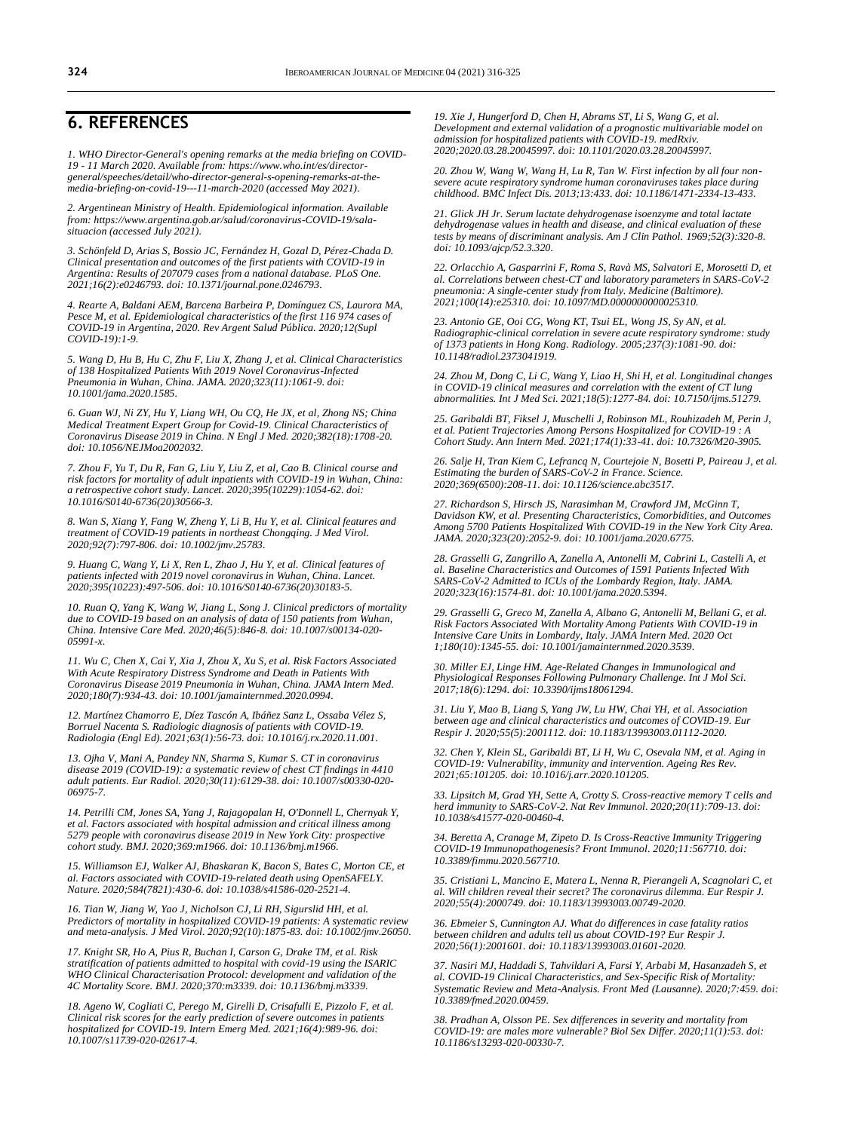### **6. REFERENCES**

*1. WHO Director-General's opening remarks at the media briefing on COVID-19 - 11 March 2020. Available from[: https://www.who.int/es/director](https://www.who.int/es/director-general/speeches/detail/who-director-general-s-opening-remarks-at-the-media-briefing-on-covid-19---11-march-2020)[general/speeches/detail/who-director-general-s-opening-remarks-at-the](https://www.who.int/es/director-general/speeches/detail/who-director-general-s-opening-remarks-at-the-media-briefing-on-covid-19---11-march-2020)[media-briefing-on-covid-19---11-march-2020](https://www.who.int/es/director-general/speeches/detail/who-director-general-s-opening-remarks-at-the-media-briefing-on-covid-19---11-march-2020) (accessed May 2021).*

*2. Argentinean Ministry of Health. Epidemiological information. Available from: [https://www.argentina.gob.ar/salud/coronavirus-COVID-19/sala](https://www.argentina.gob.ar/salud/coronavirus-COVID-19/sala-situacion)[situacion](https://www.argentina.gob.ar/salud/coronavirus-COVID-19/sala-situacion) (accessed July 2021).*

*3. Schönfeld D, Arias S, Bossio JC, Fernández H, Gozal D, Pérez-Chada D. Clinical presentation and outcomes of the first patients with COVID-19 in Argentina: Results of 207079 cases from a national database. PLoS One. 2021;16(2):e0246793. doi[: 10.1371/journal.pone.0246793.](https://doi.org/10.1371/journal.pone.0246793)*

*4. Rearte A, Baldani AEM, Barcena Barbeira P, Domínguez CS, Laurora MA,*  Pesce M, et al. Epidemiological characteristics of the first 116 974 cases of *COVID-19 in Argentina, 2020. Rev Argent Salud Pública. 2020;12(Supl COVID-19):1-9.*

*5. Wang D, Hu B, Hu C, Zhu F, Liu X, Zhang J, et al. Clinical Characteristics of 138 Hospitalized Patients With 2019 Novel Coronavirus-Infected Pneumonia in Wuhan, China. JAMA. 2020;323(11):1061-9. doi: [10.1001/jama.2020.1585.](https://doi.org/10.1001/jama.2020.1585)*

*6. Guan WJ, Ni ZY, Hu Y, Liang WH, Ou CQ, He JX, et al, Zhong NS; China Medical Treatment Expert Group for Covid-19. Clinical Characteristics of Coronavirus Disease 2019 in China. N Engl J Med. 2020;382(18):1708-20. doi[: 10.1056/NEJMoa2002032.](https://doi.org/10.1056/nejmoa2002032)*

*7. Zhou F, Yu T, Du R, Fan G, Liu Y, Liu Z, et al, Cao B. Clinical course and risk factors for mortality of adult inpatients with COVID-19 in Wuhan, China: a retrospective cohort study. Lancet. 2020;395(10229):1054-62. doi: [10.1016/S0140-6736\(20\)30566-3.](https://doi.org/10.1016/s0140-6736(20)30566-3)*

*8. Wan S, Xiang Y, Fang W, Zheng Y, Li B, Hu Y, et al. Clinical features and treatment of COVID-19 patients in northeast Chongqing. J Med Virol. 2020;92(7):797-806. doi[: 10.1002/jmv.25783.](https://doi.org/10.1002/jmv.25783)*

*9. Huang C, Wang Y, Li X, Ren L, Zhao J, Hu Y, et al. Clinical features of patients infected with 2019 novel coronavirus in Wuhan, China. Lancet. 2020;395(10223):497-506. doi[: 10.1016/S0140-6736\(20\)30183-5.](https://doi.org/10.1016/s0140-6736(20)30183-5)*

*10. Ruan Q, Yang K, Wang W, Jiang L, Song J. Clinical predictors of mortality due to COVID-19 based on an analysis of data of 150 patients from Wuhan, China. Intensive Care Med. 2020;46(5):846-8. doi: [10.1007/s00134-020-](https://doi.org/10.1007/s00134-020-05991-x) [05991-x.](https://doi.org/10.1007/s00134-020-05991-x)*

*11. Wu C, Chen X, Cai Y, Xia J, Zhou X, Xu S, et al. Risk Factors Associated With Acute Respiratory Distress Syndrome and Death in Patients With Coronavirus Disease 2019 Pneumonia in Wuhan, China. JAMA Intern Med. 2020;180(7):934-43. doi[: 10.1001/jamainternmed.2020.0994.](https://doi.org/10.1001/jamainternmed.2020.0994)*

*12. Martínez Chamorro E, Díez Tascón A, Ibáñez Sanz L, Ossaba Vélez S, Borruel Nacenta S. Radiologic diagnosis of patients with COVID-19. Radiologia (Engl Ed). 2021;63(1):56-73. doi[: 10.1016/j.rx.2020.11.001.](https://doi.org/10.1016/j.rx.2020.11.001)*

*13. Ojha V, Mani A, Pandey NN, Sharma S, Kumar S. CT in coronavirus disease 2019 (COVID-19): a systematic review of chest CT findings in 4410 adult patients. Eur Radiol. 2020;30(11):6129-38. doi[: 10.1007/s00330-020-](https://doi.org/10.1007/s00330-020-06975-7) [06975-7.](https://doi.org/10.1007/s00330-020-06975-7)*

*14. Petrilli CM, Jones SA, Yang J, Rajagopalan H, O'Donnell L, Chernyak Y, et al. Factors associated with hospital admission and critical illness among 5279 people with coronavirus disease 2019 in New York City: prospective cohort study. BMJ. 2020;369:m1966. doi[: 10.1136/bmj.m1966.](https://doi.org/10.1136/bmj.m1966)*

*15. Williamson EJ, Walker AJ, Bhaskaran K, Bacon S, Bates C, Morton CE, et al. Factors associated with COVID-19-related death using OpenSAFELY. Nature. 2020;584(7821):430-6. doi[: 10.1038/s41586-020-2521-4.](https://doi.org/10.1038/s41586-020-2521-4)*

*16. Tian W, Jiang W, Yao J, Nicholson CJ, Li RH, Sigurslid HH, et al. Predictors of mortality in hospitalized COVID-19 patients: A systematic review and meta-analysis. J Med Virol. 2020;92(10):1875-83. doi[: 10.1002/jmv.26050.](https://doi.org/10.1002/jmv.26050)*

*17. Knight SR, Ho A, Pius R, Buchan I, Carson G, Drake TM, et al. Risk stratification of patients admitted to hospital with covid-19 using the ISARIC WHO Clinical Characterisation Protocol: development and validation of the 4C Mortality Score. BMJ. 2020;370:m3339. doi[: 10.1136/bmj.m3339.](https://doi.org/10.1136/bmj.m3339)*

*18. Ageno W, Cogliati C, Perego M, Girelli D, Crisafulli E, Pizzolo F, et al. Clinical risk scores for the early prediction of severe outcomes in patients hospitalized for COVID-19. Intern Emerg Med. 2021;16(4):989-96. doi: [10.1007/s11739-020-02617-4.](https://doi.org/10.1007/s11739-020-02617-4)*

*19. Xie J, Hungerford D, Chen H, Abrams ST, Li S, Wang G, et al. Development and external validation of a prognostic multivariable model on admission for hospitalized patients with COVID-19. medRxiv. 2020;2020.03.28.20045997. doi[: 10.1101/2020.03.28.20045997.](https://doi.org/10.1101/2020.03.28.20045997)*

*20. Zhou W, Wang W, Wang H, Lu R, Tan W. First infection by all four nonsevere acute respiratory syndrome human coronaviruses takes place during childhood. BMC Infect Dis. 2013;13:433. doi[: 10.1186/1471-2334-13-433.](https://doi.org/10.1186/1471-2334-13-433)*

*21. Glick JH Jr. Serum lactate dehydrogenase isoenzyme and total lactate dehydrogenase values in health and disease, and clinical evaluation of these tests by means of discriminant analysis. Am J Clin Pathol. 1969;52(3):320-8. doi[: 10.1093/ajcp/52.3.320.](https://doi.org/10.1093/ajcp/52.3.320)*

*22. Orlacchio A, Gasparrini F, Roma S, Ravà MS, Salvatori E, Morosetti D, et al. Correlations between chest-CT and laboratory parameters in SARS-CoV-2 pneumonia: A single-center study from Italy. Medicine (Baltimore). 2021;100(14):e25310. doi[: 10.1097/MD.0000000000025310.](https://doi.org/10.1097/md.0000000000025310)*

*23. Antonio GE, Ooi CG, Wong KT, Tsui EL, Wong JS, Sy AN, et al. Radiographic-clinical correlation in severe acute respiratory syndrome: study of 1373 patients in Hong Kong. Radiology. 2005;237(3):1081-90. doi: [10.1148/radiol.2373041919.](https://doi.org/10.1148/radiol.2373041919)*

*24. Zhou M, Dong C, Li C, Wang Y, Liao H, Shi H, et al. Longitudinal changes in COVID-19 clinical measures and correlation with the extent of CT lung abnormalities. Int J Med Sci. 2021;18(5):1277-84. doi[: 10.7150/ijms.51279.](https://doi.org/10.7150/ijms.51279)*

*25. Garibaldi BT, Fiksel J, Muschelli J, Robinson ML, Rouhizadeh M, Perin J, et al. Patient Trajectories Among Persons Hospitalized for COVID-19 : A Cohort Study. Ann Intern Med. 2021;174(1):33-41. doi[: 10.7326/M20-3905.](https://doi.org/10.7326/m20-3905)*

*26. Salje H, Tran Kiem C, Lefrancq N, Courtejoie N, Bosetti P, Paireau J, et al. Estimating the burden of SARS-CoV-2 in France. Science. 2020;369(6500):208-11. doi[: 10.1126/science.abc3517.](https://doi.org/10.1126/science.abc3517)*

*27. Richardson S, Hirsch JS, Narasimhan M, Crawford JM, McGinn T, Davidson KW, et al. Presenting Characteristics, Comorbidities, and Outcomes Among 5700 Patients Hospitalized With COVID-19 in the New York City Area. JAMA. 2020;323(20):2052-9. doi[: 10.1001/jama.2020.6775.](https://doi.org/10.1001/jama.2020.6775)*

*28. Grasselli G, Zangrillo A, Zanella A, Antonelli M, Cabrini L, Castelli A, et al. Baseline Characteristics and Outcomes of 1591 Patients Infected With SARS-CoV-2 Admitted to ICUs of the Lombardy Region, Italy. JAMA. 2020;323(16):1574-81. doi[: 10.1001/jama.2020.5394.](https://doi.org/10.1001/jama.2020.5394)*

*29. Grasselli G, Greco M, Zanella A, Albano G, Antonelli M, Bellani G, et al. Risk Factors Associated With Mortality Among Patients With COVID-19 in Intensive Care Units in Lombardy, Italy. JAMA Intern Med. 2020 Oct 1;180(10):1345-55. doi[: 10.1001/jamainternmed.2020.3539.](https://doi.org/10.1001/jamainternmed.2020.3539)*

*30. Miller EJ, Linge HM. Age-Related Changes in Immunological and Physiological Responses Following Pulmonary Challenge. Int J Mol Sci. 2017;18(6):1294. doi[: 10.3390/ijms18061294.](https://doi.org/10.3390/ijms18061294)*

*31. Liu Y, Mao B, Liang S, Yang JW, Lu HW, Chai YH, et al. Association between age and clinical characteristics and outcomes of COVID-19. Eur Respir J. 2020;55(5):2001112. doi[: 10.1183/13993003.01112-2020.](https://doi.org/10.1183/13993003.01112-2020)*

*32. Chen Y, Klein SL, Garibaldi BT, Li H, Wu C, Osevala NM, et al. Aging in COVID-19: Vulnerability, immunity and intervention. Ageing Res Rev. 2021;65:101205. doi[: 10.1016/j.arr.2020.101205.](https://doi.org/10.1016/j.arr.2020.101205)*

*33. Lipsitch M, Grad YH, Sette A, Crotty S. Cross-reactive memory T cells and herd immunity to SARS-CoV-2. Nat Rev Immunol. 2020;20(11):709-13. doi: [10.1038/s41577-020-00460-4.](https://doi.org/10.1038/s41577-020-00460-4)*

*34. Beretta A, Cranage M, Zipeto D. Is Cross-Reactive Immunity Triggering COVID-19 Immunopathogenesis? Front Immunol. 2020;11:567710. doi: [10.3389/fimmu.2020.567710.](https://doi.org/10.3389/fimmu.2020.567710)*

*35. Cristiani L, Mancino E, Matera L, Nenna R, Pierangeli A, Scagnolari C, et al. Will children reveal their secret? The coronavirus dilemma. Eur Respir J. 2020;55(4):2000749. doi[: 10.1183/13993003.00749-2020.](https://doi.org/10.1183/13993003.00749-2020)*

*36. Ebmeier S, Cunnington AJ. What do differences in case fatality ratios between children and adults tell us about COVID-19? Eur Respir J. 2020;56(1):2001601. doi[: 10.1183/13993003.01601-2020.](https://doi.org/10.1183/13993003.01601-2020)*

*37. Nasiri MJ, Haddadi S, Tahvildari A, Farsi Y, Arbabi M, Hasanzadeh S, et al. COVID-19 Clinical Characteristics, and Sex-Specific Risk of Mortality: Systematic Review and Meta-Analysis. Front Med (Lausanne). 2020;7:459. doi: [10.3389/fmed.2020.00459.](https://doi.org/10.3389/fmed.2020.00459)*

*38. Pradhan A, Olsson PE. Sex differences in severity and mortality from COVID-19: are males more vulnerable? Biol Sex Differ. 2020;11(1):53. doi: [10.1186/s13293-020-00330-7.](https://doi.org/10.1186/s13293-020-00330-7)*